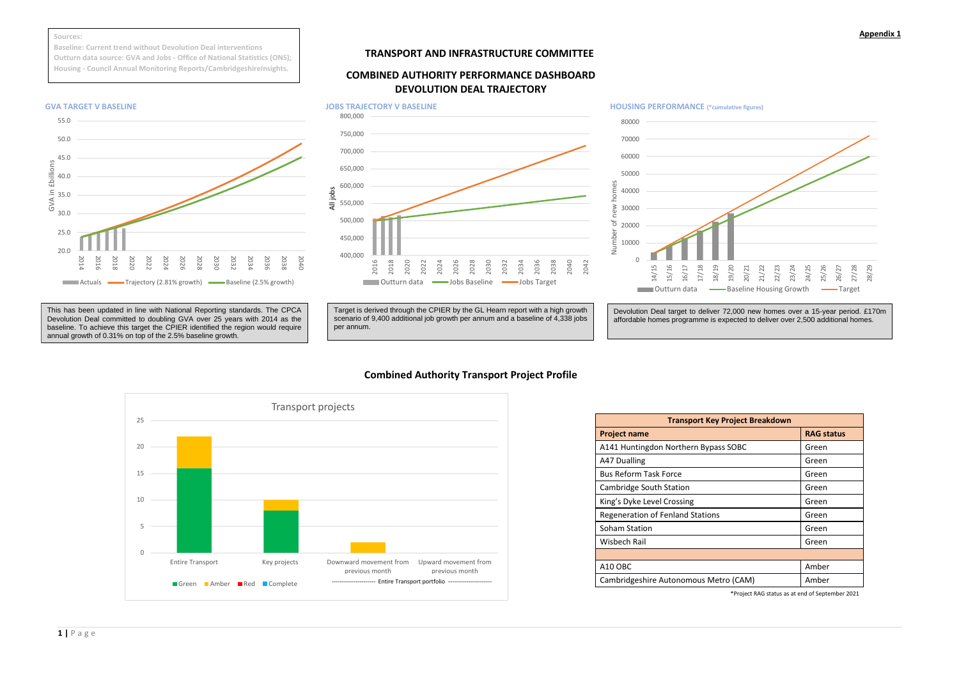## **Appendix 1**

# **TRANSPORT AND INFRASTRUCTURE COMMITTEE**

# **COMBINED AUTHORITY PERFORMANCE DASHBOARD DEVOLUTION DEAL TRAJECTORY**

# **Combined Authority Transport Project Profile**

| <b>Transport Key Project Breakdown</b>  |                   |
|-----------------------------------------|-------------------|
| <b>Project name</b>                     | <b>RAG status</b> |
| A141 Huntingdon Northern Bypass SOBC    | Green             |
| A47 Dualling                            | Green             |
| <b>Bus Reform Task Force</b>            | Green             |
| Cambridge South Station                 | Green             |
| King's Dyke Level Crossing              | Green             |
| <b>Regeneration of Fenland Stations</b> | Green             |
| Soham Station                           | Green             |
| Wisbech Rail                            | Green             |
|                                         |                   |
| A10 OBC                                 | Amber             |
| Cambridgeshire Autonomous Metro (CAM)   | Amber             |
|                                         |                   |



\*Project RAG status as at end of September 2021





### **Sources:**

**Baseline: Current trend without Devolution Deal interventions Outturn data source: GVA and Jobs - Office of National Statistics (ONS); Housing - Council Annual Monitoring Reports/CambridgeshireInsights.**

> Devolution Deal target to deliver 72,000 new homes over a 15-year period. £170m affordable homes programme is expected to deliver over 2,500 additional homes.

Target is derived through the CPIER by the GL Hearn report with a high growth scenario of 9,400 additional job growth per annum and a baseline of 4,338 jobs per annum.

This has been updated in line with National Reporting standards. The CPCA Devolution Deal committed to doubling GVA over 25 years with 2014 as the baseline. To achieve this target the CPIER identified the region would require annual growth of 0.31% on top of the 2.5% baseline growth.